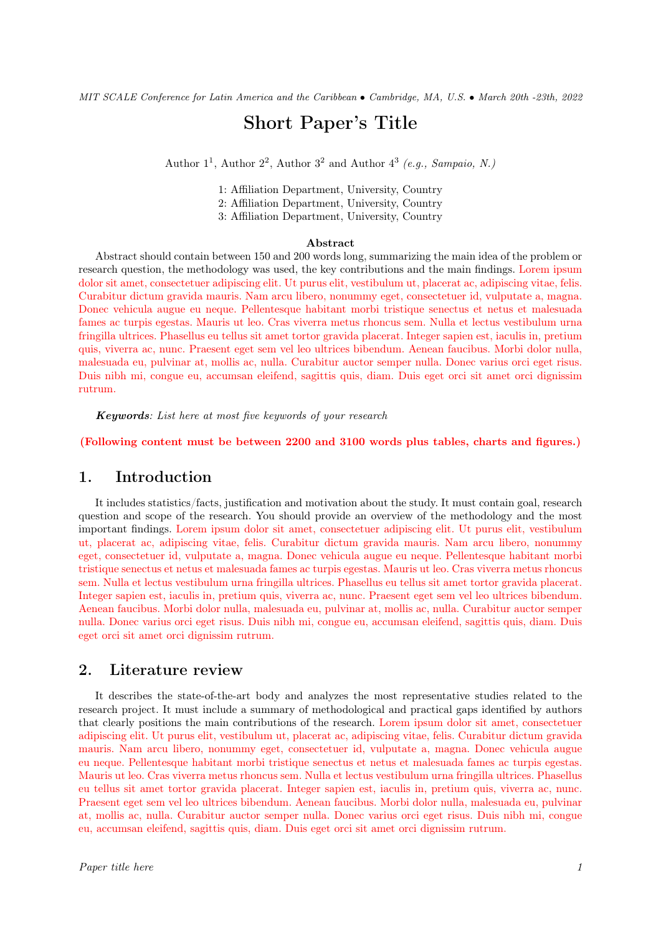# Short Paper's Title

Author  $1^1$ , Author  $2^2$ , Author  $3^2$  and Author  $4^3$  (e.g., Sampaio, N.)

1: Affiliation Department, University, Country

2: Affiliation Department, University, Country

3: Affiliation Department, University, Country

#### Abstract

Abstract should contain between 150 and 200 words long, summarizing the main idea of the problem or research question, the methodology was used, the key contributions and the main findings. Lorem ipsum dolor sit amet, consectetuer adipiscing elit. Ut purus elit, vestibulum ut, placerat ac, adipiscing vitae, felis. Curabitur dictum gravida mauris. Nam arcu libero, nonummy eget, consectetuer id, vulputate a, magna. Donec vehicula augue eu neque. Pellentesque habitant morbi tristique senectus et netus et malesuada fames ac turpis egestas. Mauris ut leo. Cras viverra metus rhoncus sem. Nulla et lectus vestibulum urna fringilla ultrices. Phasellus eu tellus sit amet tortor gravida placerat. Integer sapien est, iaculis in, pretium quis, viverra ac, nunc. Praesent eget sem vel leo ultrices bibendum. Aenean faucibus. Morbi dolor nulla, malesuada eu, pulvinar at, mollis ac, nulla. Curabitur auctor semper nulla. Donec varius orci eget risus. Duis nibh mi, congue eu, accumsan eleifend, sagittis quis, diam. Duis eget orci sit amet orci dignissim rutrum.

Keywords: List here at most five keywords of your research

(Following content must be between 2200 and 3100 words plus tables, charts and figures.)

### 1. Introduction

It includes statistics/facts, justification and motivation about the study. It must contain goal, research question and scope of the research. You should provide an overview of the methodology and the most important findings. Lorem ipsum dolor sit amet, consectetuer adipiscing elit. Ut purus elit, vestibulum ut, placerat ac, adipiscing vitae, felis. Curabitur dictum gravida mauris. Nam arcu libero, nonummy eget, consectetuer id, vulputate a, magna. Donec vehicula augue eu neque. Pellentesque habitant morbi tristique senectus et netus et malesuada fames ac turpis egestas. Mauris ut leo. Cras viverra metus rhoncus sem. Nulla et lectus vestibulum urna fringilla ultrices. Phasellus eu tellus sit amet tortor gravida placerat. Integer sapien est, iaculis in, pretium quis, viverra ac, nunc. Praesent eget sem vel leo ultrices bibendum. Aenean faucibus. Morbi dolor nulla, malesuada eu, pulvinar at, mollis ac, nulla. Curabitur auctor semper nulla. Donec varius orci eget risus. Duis nibh mi, congue eu, accumsan eleifend, sagittis quis, diam. Duis eget orci sit amet orci dignissim rutrum.

#### 2. Literature review

It describes the state-of-the-art body and analyzes the most representative studies related to the research project. It must include a summary of methodological and practical gaps identified by authors that clearly positions the main contributions of the research. Lorem ipsum dolor sit amet, consectetuer adipiscing elit. Ut purus elit, vestibulum ut, placerat ac, adipiscing vitae, felis. Curabitur dictum gravida mauris. Nam arcu libero, nonummy eget, consectetuer id, vulputate a, magna. Donec vehicula augue eu neque. Pellentesque habitant morbi tristique senectus et netus et malesuada fames ac turpis egestas. Mauris ut leo. Cras viverra metus rhoncus sem. Nulla et lectus vestibulum urna fringilla ultrices. Phasellus eu tellus sit amet tortor gravida placerat. Integer sapien est, iaculis in, pretium quis, viverra ac, nunc. Praesent eget sem vel leo ultrices bibendum. Aenean faucibus. Morbi dolor nulla, malesuada eu, pulvinar at, mollis ac, nulla. Curabitur auctor semper nulla. Donec varius orci eget risus. Duis nibh mi, congue eu, accumsan eleifend, sagittis quis, diam. Duis eget orci sit amet orci dignissim rutrum.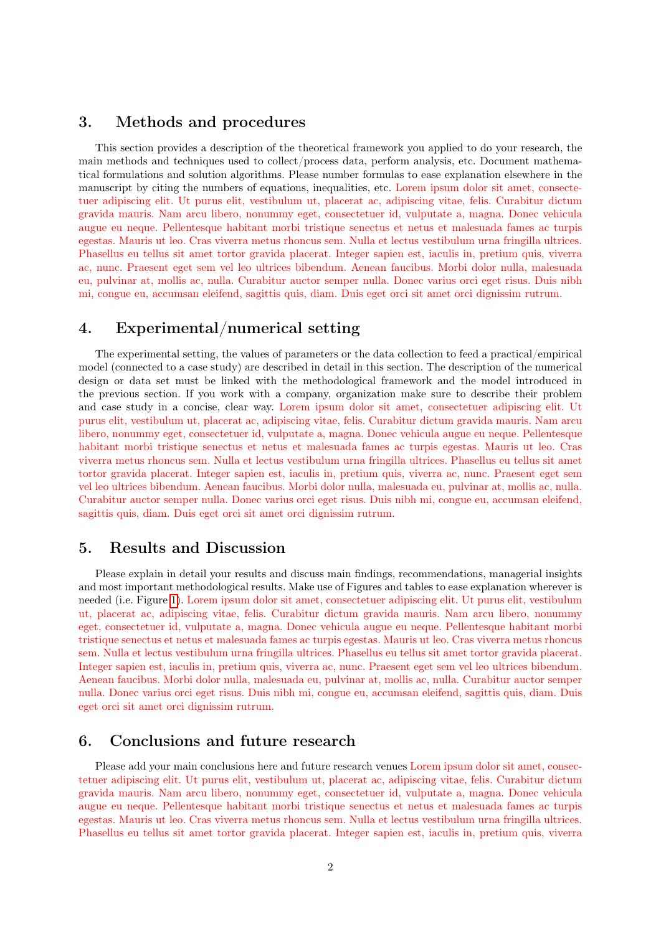## 3. Methods and procedures

This section provides a description of the theoretical framework you applied to do your research, the main methods and techniques used to collect/process data, perform analysis, etc. Document mathematical formulations and solution algorithms. Please number formulas to ease explanation elsewhere in the manuscript by citing the numbers of equations, inequalities, etc. Lorem ipsum dolor sit amet, consectetuer adipiscing elit. Ut purus elit, vestibulum ut, placerat ac, adipiscing vitae, felis. Curabitur dictum gravida mauris. Nam arcu libero, nonummy eget, consectetuer id, vulputate a, magna. Donec vehicula augue eu neque. Pellentesque habitant morbi tristique senectus et netus et malesuada fames ac turpis egestas. Mauris ut leo. Cras viverra metus rhoncus sem. Nulla et lectus vestibulum urna fringilla ultrices. Phasellus eu tellus sit amet tortor gravida placerat. Integer sapien est, iaculis in, pretium quis, viverra ac, nunc. Praesent eget sem vel leo ultrices bibendum. Aenean faucibus. Morbi dolor nulla, malesuada eu, pulvinar at, mollis ac, nulla. Curabitur auctor semper nulla. Donec varius orci eget risus. Duis nibh mi, congue eu, accumsan eleifend, sagittis quis, diam. Duis eget orci sit amet orci dignissim rutrum.

## 4. Experimental/numerical setting

The experimental setting, the values of parameters or the data collection to feed a practical/empirical model (connected to a case study) are described in detail in this section. The description of the numerical design or data set must be linked with the methodological framework and the model introduced in the previous section. If you work with a company, organization make sure to describe their problem and case study in a concise, clear way. Lorem ipsum dolor sit amet, consectetuer adipiscing elit. Ut purus elit, vestibulum ut, placerat ac, adipiscing vitae, felis. Curabitur dictum gravida mauris. Nam arcu libero, nonummy eget, consectetuer id, vulputate a, magna. Donec vehicula augue eu neque. Pellentesque habitant morbi tristique senectus et netus et malesuada fames ac turpis egestas. Mauris ut leo. Cras viverra metus rhoncus sem. Nulla et lectus vestibulum urna fringilla ultrices. Phasellus eu tellus sit amet tortor gravida placerat. Integer sapien est, iaculis in, pretium quis, viverra ac, nunc. Praesent eget sem vel leo ultrices bibendum. Aenean faucibus. Morbi dolor nulla, malesuada eu, pulvinar at, mollis ac, nulla. Curabitur auctor semper nulla. Donec varius orci eget risus. Duis nibh mi, congue eu, accumsan eleifend, sagittis quis, diam. Duis eget orci sit amet orci dignissim rutrum.

#### 5. Results and Discussion

Please explain in detail your results and discuss main findings, recommendations, managerial insights and most important methodological results. Make use of Figures and tables to ease explanation wherever is needed (i.e. Figure [1\)](#page-2-0). Lorem ipsum dolor sit amet, consectetuer adipiscing elit. Ut purus elit, vestibulum ut, placerat ac, adipiscing vitae, felis. Curabitur dictum gravida mauris. Nam arcu libero, nonummy eget, consectetuer id, vulputate a, magna. Donec vehicula augue eu neque. Pellentesque habitant morbi tristique senectus et netus et malesuada fames ac turpis egestas. Mauris ut leo. Cras viverra metus rhoncus sem. Nulla et lectus vestibulum urna fringilla ultrices. Phasellus eu tellus sit amet tortor gravida placerat. Integer sapien est, iaculis in, pretium quis, viverra ac, nunc. Praesent eget sem vel leo ultrices bibendum. Aenean faucibus. Morbi dolor nulla, malesuada eu, pulvinar at, mollis ac, nulla. Curabitur auctor semper nulla. Donec varius orci eget risus. Duis nibh mi, congue eu, accumsan eleifend, sagittis quis, diam. Duis eget orci sit amet orci dignissim rutrum.

### 6. Conclusions and future research

Please add your main conclusions here and future research venues Lorem ipsum dolor sit amet, consectetuer adipiscing elit. Ut purus elit, vestibulum ut, placerat ac, adipiscing vitae, felis. Curabitur dictum gravida mauris. Nam arcu libero, nonummy eget, consectetuer id, vulputate a, magna. Donec vehicula augue eu neque. Pellentesque habitant morbi tristique senectus et netus et malesuada fames ac turpis egestas. Mauris ut leo. Cras viverra metus rhoncus sem. Nulla et lectus vestibulum urna fringilla ultrices. Phasellus eu tellus sit amet tortor gravida placerat. Integer sapien est, iaculis in, pretium quis, viverra